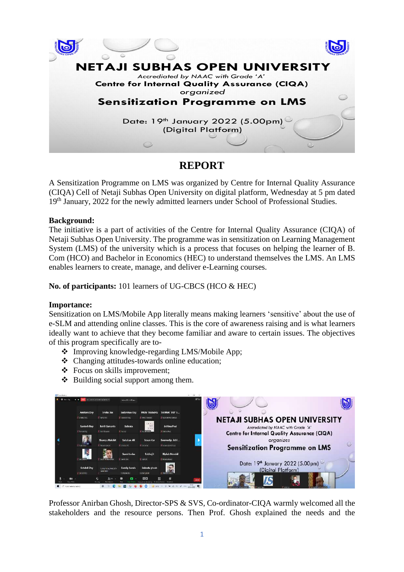

## **REPORT**

A Sensitization Programme on LMS was organized by Centre for Internal Quality Assurance (CIQA) Cell of Netaji Subhas Open University on digital platform, Wednesday at 5 pm dated 19<sup>th</sup> January, 2022 for the newly admitted learners under School of Professional Studies.

## **Background:**

The initiative is a part of activities of the Centre for Internal Quality Assurance (CIQA) of Netaji Subhas Open University. The programme was in sensitization on Learning Management System (LMS) of the university which is a process that focuses on helping the learner of B. Com (HCO) and Bachelor in Economics (HEC) to understand themselves the LMS. An LMS enables learners to create, manage, and deliver e-Learning courses.

**No. of participants:** 101 learners of UG-CBCS (HCO & HEC)

## **Importance:**

Sensitization on LMS/Mobile App literally means making learners 'sensitive' about the use of e-SLM and attending online classes. This is the core of awareness raising and is what learners ideally want to achieve that they become familiar and aware to certain issues. The objectives of this program specifically are to-

- ❖ Improving knowledge-regarding LMS/Mobile App;
- ❖ Changing attitudes-towards online education;
- ❖ Focus on skills improvement;
- ❖ Building social support among them.



Professor Anirban Ghosh, Director-SPS & SVS, Co-ordinator-CIQA warmly welcomed all the stakeholders and the resource persons. Then Prof. Ghosh explained the needs and the